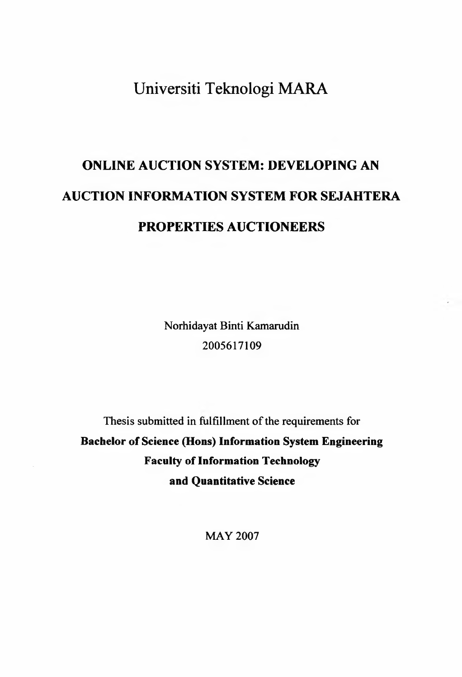## Universiti Teknologi MARA

# **ONLINE AUCTION SYSTEM: DEVELOPING AN AUCTION INFORMATION SYSTEM FOR SEJAHTERA PROPERTIES AUCTIONEERS**

Norhidayat Binti Kamarudin 2005617109

Thesis submitted in fulfillment of the requirements for **Bachelor of Science (Hons) Information System Engineering Faculty of Information Technology and Quantitative Science**

MAY 2007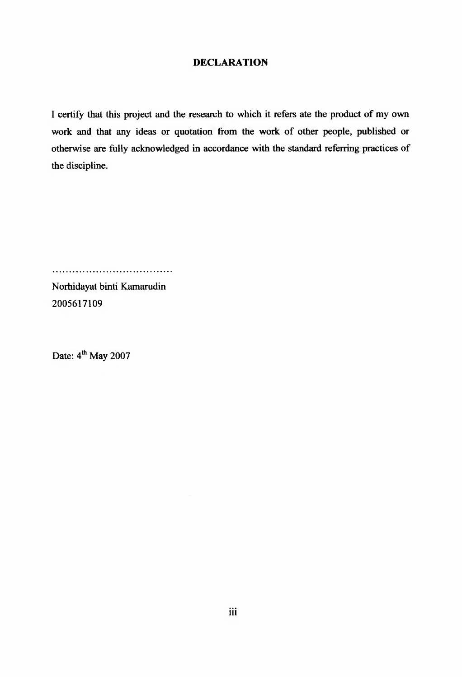#### **DECLARATION**

I certify that this project and the research to which it refers ate the product of my own work and that any ideas or quotation from the work of other people, published or otherwise are fully acknowledged in accordance with the standard referring practices of the discipline.

...................................

Norhidayat binti Kamarudin 2005617109

Date:  $4<sup>th</sup>$  May 2007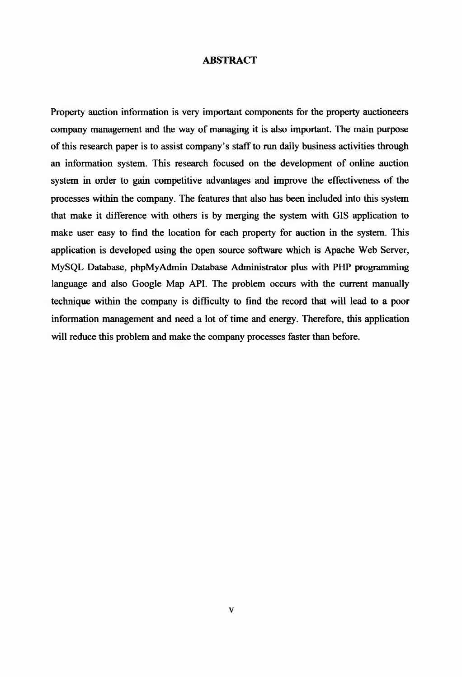#### **ABSTRACT**

Property auction information is very important components for the property auctioneers company management and the way of managing it is also important. The main purpose of this research paper is to assist company's staff to run daily business activities through an information system. This research focused on the development of online auction system in order to gain competitive advantages and improve the effectiveness of the processes within the company. The features that also has been included into this system that make it difference with others is by merging the system with GIS application to make user easy to find the location for each property for auction in the system. This application is developed using the open source software which is Apache Web Server, MySQL Database, phpMyAdmin Database Administrator plus with PHP programming language and also Google Map API. The problem occurs with the current manually technique within the company is difficulty to find the record that will lead to a poor information management and need a lot of time and energy. Therefore, this application will reduce this problem and make the company processes faster than before.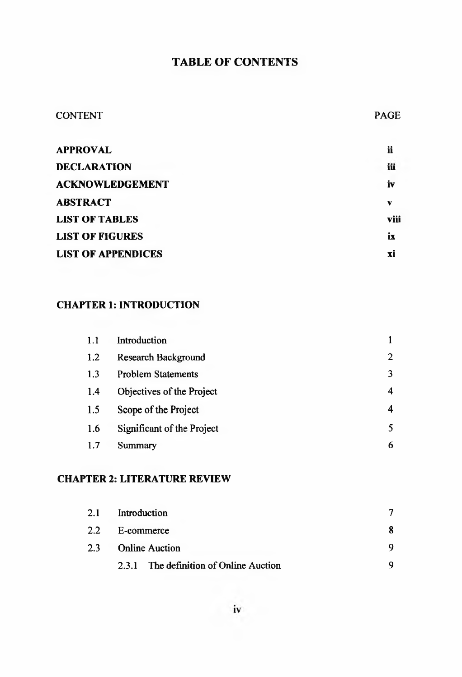## **TABLE OF CONTENTS**

#### CONTENT PAGE

| <b>APPROVAL</b>           | ii   |
|---------------------------|------|
| <b>DECLARATION</b>        | iii  |
| <b>ACKNOWLEDGEMENT</b>    | iv   |
| <b>ABSTRACT</b>           | v    |
| <b>LIST OF TABLES</b>     | viii |
| <b>LIST OF FIGURES</b>    | ix   |
| <b>LIST OF APPENDICES</b> | xi   |
|                           |      |

#### **CHAPTER 1: INTRODUCTION**

| 1.1 | Introduction               |                |
|-----|----------------------------|----------------|
| 1.2 | <b>Research Background</b> | $\overline{2}$ |
| 1.3 | <b>Problem Statements</b>  | 3              |
| 1.4 | Objectives of the Project  | 4              |
| 1.5 | Scope of the Project       | 4              |
| 1.6 | Significant of the Project | 5              |
| 1.7 | <b>Summary</b>             | 6              |

#### **CHAPTER 2: LITERATURE REVIEW**

| 2.1 | Introduction                           |  |
|-----|----------------------------------------|--|
|     | 2.2 E-commerce                         |  |
| 2.3 | <b>Online Auction</b>                  |  |
|     | 2.3.1 The definition of Online Auction |  |